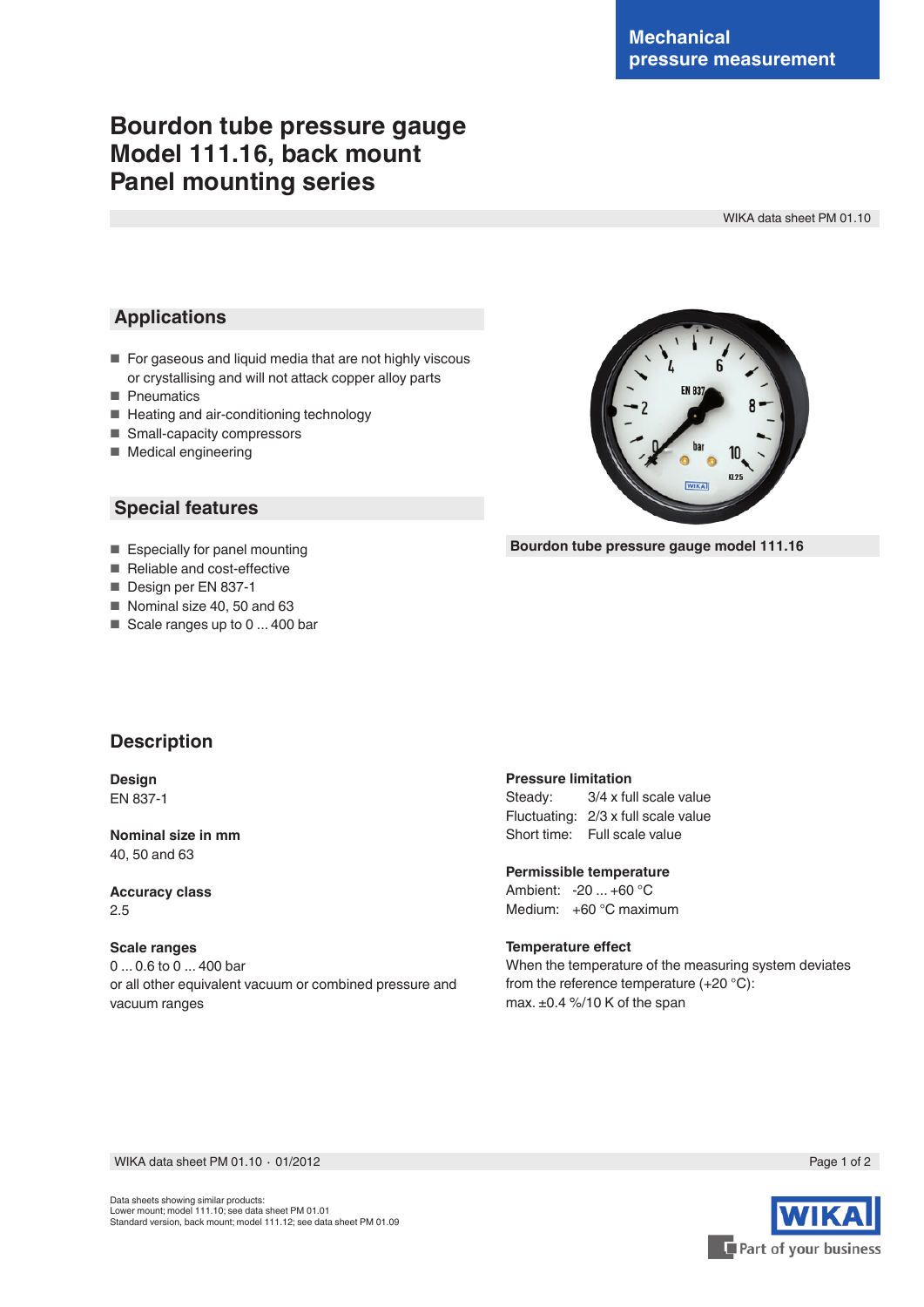# **Bourdon tube pressure gauge Model 111.16, back mount Panel mounting series**

WIKA data sheet PM 01.10

### **Applications**

- For gaseous and liquid media that are not highly viscous or crystallising and will not attack copper alloy parts
- Pneumatics
- Heating and air-conditioning technology
- Small-capacity compressors
- Medical engineering

### **Special features**

- Especially for panel mounting
- Reliable and cost-effective
- Design per EN 837-1
- Nominal size 40, 50 and 63
- Scale ranges up to 0 ... 400 bar



**Bourdon tube pressure gauge model 111.16**

## **Description**

**Design** EN 837-1

**Nominal size in mm** 40, 50 and 63

**Accuracy class** 2.5

#### **Scale ranges**

0 ... 0.6 to 0 ... 400 bar or all other equivalent vacuum or combined pressure and vacuum ranges

#### **Pressure limitation**

Steady: 3/4 x full scale value Fluctuating: 2/3 x full scale value Short time: Full scale value

**Permissible temperature** Ambient: -20 ... +60 °C Medium: +60 °C maximum

#### **Temperature effect**

When the temperature of the measuring system deviates from the reference temperature (+20 °C): max. ±0.4 %/10 K of the span

WIKA data sheet PM 01.10 ∙ 01/2012

Part of your business



Page 1 of 2